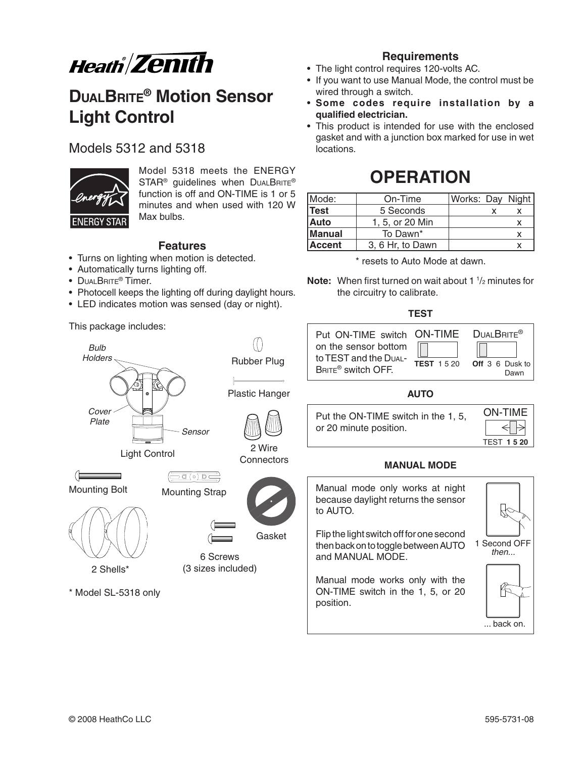

### **DualBrite® Motion Sensor Light Control**

Models 5312 and 5318



Model 5318 meets the ENERGY STAR<sup>®</sup> guidelines when DUALBRITE® function is off and ON-TIME is 1 or 5 minutes and when used with 120 W Max bulbs.

### **Features**

- Turns on lighting when motion is detected.
- Automatically turns lighting off.
- DUALBRITE<sup>®</sup> Timer.
- Photocell keeps the lighting off during daylight hours.
- LED indicates motion was sensed (day or night).

This package includes:



\* Model SL-5318 only

### **Requirements**

- The light control requires 120-volts AC.
- If you want to use Manual Mode, the control must be wired through a switch.
- **Some codes require installation by a qualified electrician.**
- This product is intended for use with the enclosed gasket and with a junction box marked for use in wet locations.

### **OPERATION**

| Mode:                   | On-Time          | Works: Day Night |   |
|-------------------------|------------------|------------------|---|
| Test<br>5 Seconds       |                  |                  |   |
| Auto<br>1, 5, or 20 Min |                  |                  |   |
| Manual<br>To Dawn*      |                  |                  | x |
| <b>Accent</b>           | 3, 6 Hr, to Dawn |                  |   |

\* resets to Auto Mode at dawn.

**Note:** When first turned on wait about 1<sup>1</sup>/<sub>2</sub> minutes for the circuitry to calibrate.

**TEST**



#### **AUTO**

| Put the ON-TIME switch in the 1, 5, | <b>ON-TIME</b>   |
|-------------------------------------|------------------|
| or 20 minute position.              |                  |
|                                     | <b>TFST 1520</b> |

#### **MANUAL MODE**

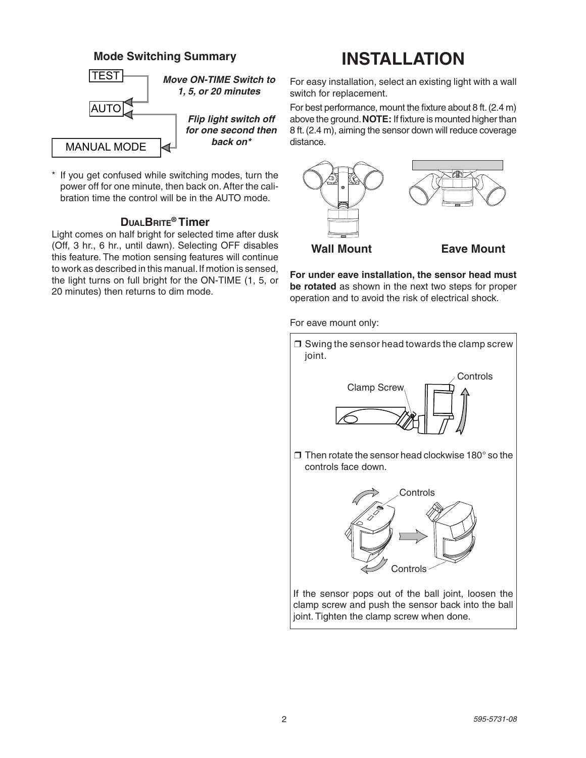### **Mode Switching Summary**



\* If you get confused while switching modes, turn the power off for one minute, then back on. After the calibration time the control will be in the AUTO mode.

### **DualBrite® Timer**

Light comes on half bright for selected time after dusk (Off, 3 hr., 6 hr., until dawn). Selecting OFF disables this feature. The motion sensing features will continue to work as described in this manual. If motion is sensed, the light turns on full bright for the ON-TIME (1, 5, or 20 minutes) then returns to dim mode.

### **INSTALLATION**

For easy installation, select an existing light with a wall switch for replacement.

For best performance, mount the fixture about 8 ft. (2.4 m) above the ground. **NOTE:** If fixture is mounted higher than 8 ft. (2.4 m), aiming the sensor down will reduce coverage distance.



**For under eave installation, the sensor head must be rotated** as shown in the next two steps for proper operation and to avoid the risk of electrical shock.

For eave mount only:

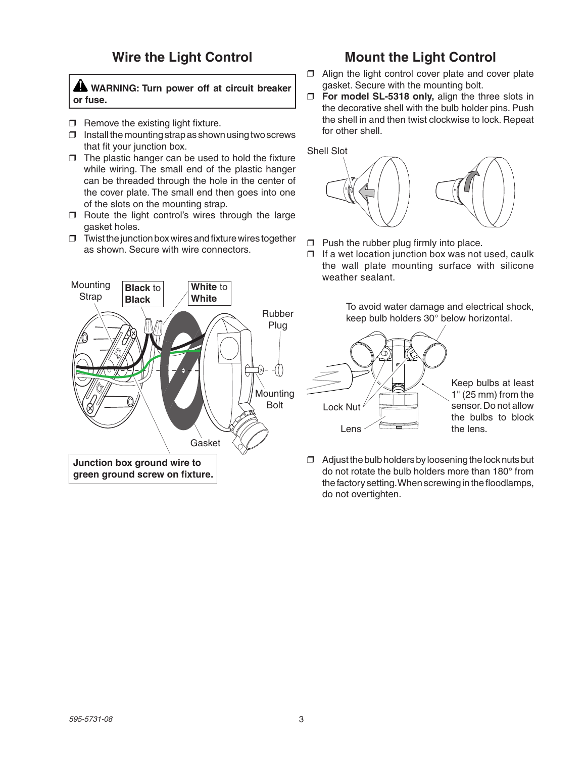### **Wire the Light Control**

### **Mount the Light Control**

#### **WARNING: Turn power off at circuit breaker or fuse.**

- ❒ Remove the existing light fixture.
- $\Box$  Install the mounting strap as shown using two screws that fit your junction box.
- ❒ The plastic hanger can be used to hold the fixture while wiring. The small end of the plastic hanger can be threaded through the hole in the center of the cover plate. The small end then goes into one of the slots on the mounting strap.
- ❒ Route the light control's wires through the large gasket holes.
- ❒ Twist thejunction box wires and fixture wires together as shown. Secure with wire connectors.



- ❒ Align the light control cover plate and cover plate gasket. Secure with the mounting bolt.
- ❒ **For model SL-5318 only,** align the three slots in the decorative shell with the bulb holder pins. Push the shell in and then twist clockwise to lock. Repeat for other shell.

Shell Slot



- $\n *□*\n *Push* the rubber plug firmly into place.$
- ❒ If a wet location junction box was not used, caulk the wall plate mounting surface with silicone weather sealant.

To avoid water damage and electrical shock, keep bulb holders 30° below horizontal.



 $\Box$  Adjust the bulb holders by loosening the lock nuts but do not rotate the bulb holders more than 180° from the factory setting. When screwing in the floodlamps, do not overtighten.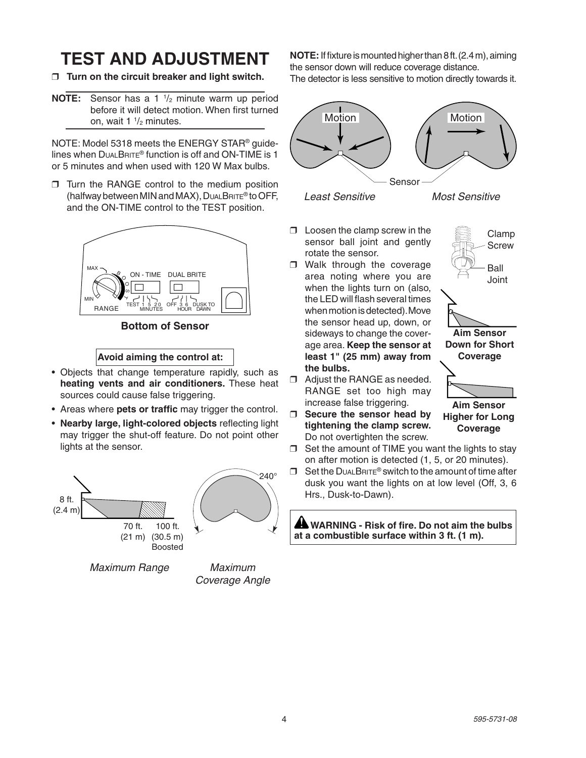### **TEST AND ADJUSTMENT**

- ❒ **Turn on the circuit breaker and light switch.**
- **NOTE:** Sensor has a 1 1 /2 minute warm up period before it will detect motion. When first turned on, wait 1 <sup>1</sup>/<sub>2</sub> minutes.

NOTE: Model 5318 meets the ENERGY STAR® guidelines when DualBrite® function is off and ON-TIME is 1 or 5 minutes and when used with 120 W Max bulbs.

❒ Turn the RANGE control to the medium position (halfway between MIN and MAX),  $D$ UALBRITE® to OFF, and the ON-TIME control to the TEST position.



**Bottom of Sensor**

#### **Avoid aiming the control at:**

- Objects that change temperature rapidly, such as **heating vents and air conditioners.** These heat sources could cause false triggering.
- Areas where **pets or traffic** may trigger the control.
- **Nearby large, light-colored objects** reflecting light may trigger the shut-off feature. Do not point other lights at the sensor.



*Maximum Range Maximum*

*Coverage Angle*

**NOTE:** If fixture is mounted higher than 8 ft. (2.4 m), aiming the sensor down will reduce coverage distance. The detector is less sensitive to motion directly towards it.



*Least Sensitive Most Sensitive*

- 
- ❒ Loosen the clamp screw in the sensor ball joint and gently rotate the sensor.
- ❒ Walk through the coverage area noting where you are when the lights turn on (also, the LED will flash several times when motion is detected). Move the sensor head up, down, or sideways to change the coverage area. **Keep the sensor at least 1" (25 mm) away from the bulbs.**
- ❒ Adjust the RANGE as needed. RANGE set too high may increase false triggering.
- ❒ **Secure the sensor head by tightening the clamp screw.** Do not overtighten the screw.



- ❒ Set the amount of TIME you want the lights to stay on after motion is detected (1, 5, or 20 minutes).
- ❒ Set the DualBrite® switch to the amount of time after dusk you want the lights on at low level (Off, 3, 6 Hrs., Dusk-to-Dawn).

**WARNING - Risk of fire. Do not aim the bulbs at a combustible surface within 3 ft. (1 m).**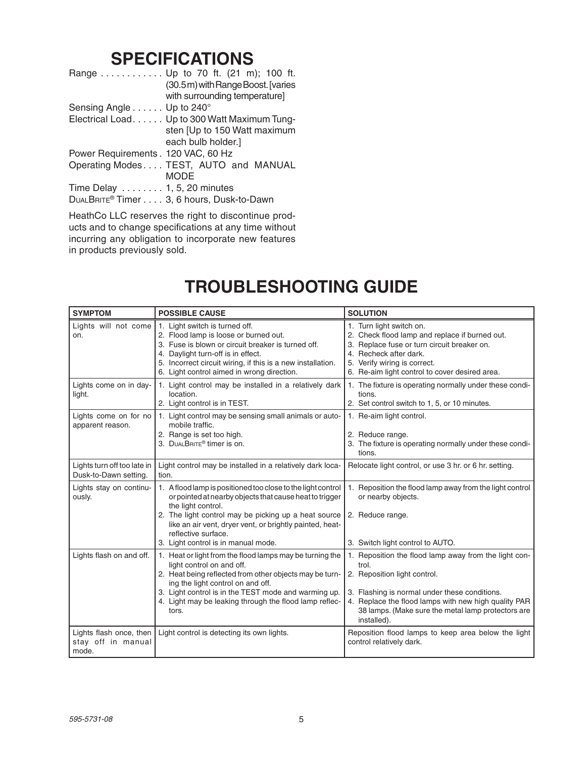### **SPECIFICATIONS**

|                                                     | Range  Up to 70 ft. (21 m); 100 ft.                   |  |  |
|-----------------------------------------------------|-------------------------------------------------------|--|--|
|                                                     | (30.5m) with Range Boost. [varies                     |  |  |
|                                                     | with surrounding temperature]                         |  |  |
| Sensing Angle Up to 240°                            |                                                       |  |  |
|                                                     | Electrical Load. Up to 300 Watt Maximum Tung-         |  |  |
|                                                     | sten [Up to 150 Watt maximum                          |  |  |
|                                                     | each bulb holder.]                                    |  |  |
| Power Requirements . 120 VAC, 60 Hz                 |                                                       |  |  |
|                                                     | Operating Modes TEST, AUTO and MANUAL                 |  |  |
|                                                     | <b>MODE</b>                                           |  |  |
| Time Delay $\ldots \ldots \ldots 1$ , 5, 20 minutes |                                                       |  |  |
|                                                     | DUALBRITE <sup>®</sup> Timer 3, 6 hours, Dusk-to-Dawn |  |  |
|                                                     |                                                       |  |  |

HeathCo LLC reserves the right to discontinue products and to change specifications at any time without incurring any obligation to incorporate new features in products previously sold.

### **TROUBLESHOOTING GUIDE**

| <b>SYMPTOM</b>                                         | <b>POSSIBLE CAUSE</b>                                                                                                                                                                                                                                                                                                           | <b>SOLUTION</b>                                                                                                                                                                                                                                                              |
|--------------------------------------------------------|---------------------------------------------------------------------------------------------------------------------------------------------------------------------------------------------------------------------------------------------------------------------------------------------------------------------------------|------------------------------------------------------------------------------------------------------------------------------------------------------------------------------------------------------------------------------------------------------------------------------|
| Lights will not come<br>on.                            | 1. Light switch is turned off.<br>2. Flood lamp is loose or burned out.<br>3. Fuse is blown or circuit breaker is turned off.<br>4. Daylight turn-off is in effect.<br>5. Incorrect circuit wiring, if this is a new installation.<br>6. Light control aimed in wrong direction.                                                | 1. Turn light switch on.<br>2. Check flood lamp and replace if burned out.<br>3. Replace fuse or turn circuit breaker on.<br>4. Recheck after dark.<br>5. Verify wiring is correct.<br>6. Re-aim light control to cover desired area.                                        |
| Lights come on in day-<br>light.                       | 1. Light control may be installed in a relatively dark<br>location.<br>2. Light control is in TEST.                                                                                                                                                                                                                             | 1. The fixture is operating normally under these condi-<br>tions.<br>2. Set control switch to 1, 5, or 10 minutes.                                                                                                                                                           |
| Lights come on for no<br>apparent reason.              | 1. Light control may be sensing small animals or auto-<br>mobile traffic.<br>2. Range is set too high.<br>3. DUALBRITE® timer is on.                                                                                                                                                                                            | 1. Re-aim light control.<br>2. Reduce range.<br>3. The fixture is operating normally under these condi-<br>tions.                                                                                                                                                            |
| Lights turn off too late in<br>Dusk-to-Dawn setting.   | Light control may be installed in a relatively dark loca-<br>tion.                                                                                                                                                                                                                                                              | Relocate light control, or use 3 hr. or 6 hr. setting.                                                                                                                                                                                                                       |
| Lights stay on continu-<br>ously.                      | 1. A flood lamp is positioned too close to the light control<br>or pointed at nearby objects that cause heat to trigger<br>the light control.<br>2. The light control may be picking up a heat source<br>like an air vent, dryer vent, or brightly painted, heat-<br>reflective surface.<br>3. Light control is in manual mode. | 1. Reposition the flood lamp away from the light control<br>or nearby objects.<br>2. Reduce range.<br>3. Switch light control to AUTO.                                                                                                                                       |
| Lights flash on and off.                               | 1. Heat or light from the flood lamps may be turning the<br>light control on and off.<br>2. Heat being reflected from other objects may be turn-<br>ing the light control on and off.<br>3. Light control is in the TEST mode and warming up.<br>4. Light may be leaking through the flood lamp reflec-<br>tors.                | 1. Reposition the flood lamp away from the light con-<br>trol.<br>2. Reposition light control.<br>3. Flashing is normal under these conditions.<br>4. Replace the flood lamps with new high quality PAR<br>38 lamps. (Make sure the metal lamp protectors are<br>installed). |
| Lights flash once, then<br>stay off in manual<br>mode. | Light control is detecting its own lights.                                                                                                                                                                                                                                                                                      | Reposition flood lamps to keep area below the light<br>control relatively dark.                                                                                                                                                                                              |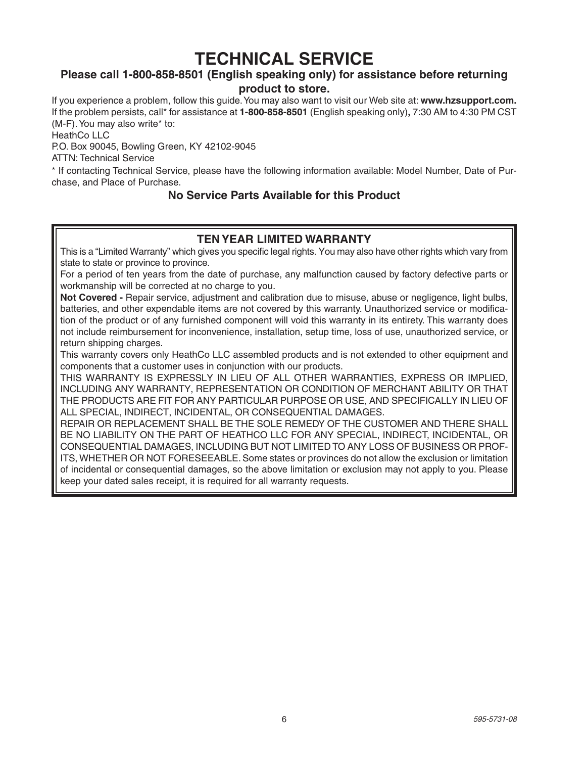### **Technical Service**

### **Please call 1-800-858-8501 (English speaking only) for assistance before returning product to store.**

If you experience a problem, follow this guide. You may also want to visit our Web site at: **www.hzsupport.com.** If the problem persists, call\* for assistance at **1-800-858-8501** (English speaking only)**,** 7:30 AM to 4:30 PM CST (M-F). You may also write\* to:

HeathCo LLC

P.O. Box 90045, Bowling Green, KY 42102-9045

ATTN: Technical Service

\* If contacting Technical Service, please have the following information available: Model Number, Date of Purchase, and Place of Purchase.

### **No Service Parts Available for this Product**

### **TEN YEAR LIMITED WARRANTY**

This is a "Limited Warranty" which gives you specific legal rights. You may also have other rights which vary from state to state or province to province.

For a period of ten years from the date of purchase, any malfunction caused by factory defective parts or workmanship will be corrected at no charge to you.

**Not Covered -** Repair service, adjustment and calibration due to misuse, abuse or negligence, light bulbs, batteries, and other expendable items are not covered by this warranty. Unauthorized service or modification of the product or of any furnished component will void this warranty in its entirety. This warranty does not include reimbursement for inconvenience, installation, setup time, loss of use, unauthorized service, or return shipping charges.

This warranty covers only HeathCo LLC assembled products and is not extended to other equipment and components that a customer uses in conjunction with our products.

THIS WARRANTY IS EXPRESSLY IN LIEU OF ALL OTHER WARRANTIES, EXPRESS OR IMPLIED, INCLUDING ANY WARRANTY, REPRESENTATION OR CONDITION OF MERCHANT ABILITY OR THAT THE PRODUCTS ARE FIT FOR ANY PARTICULAR PURPOSE OR USE, AND SPECIFICALLY IN LIEU OF ALL SPECIAL, INDIRECT, INCIDENTAL, OR CONSEQUENTIAL DAMAGES.

REPAIR OR REPLACEMENT SHALL BE THE SOLE REMEDY OF THE CUSTOMER AND THERE SHALL BE NO LIABILITY ON THE PART OF HeathCo LLC FOR ANY SPECIAL, INDIRECT, INCIDENTAL, OR CONSEQUENTIAL DAMAGES, INCLUDING BUT NOT LIMITED TO ANY LOSS OF BUSINESS OR PROF-ITS, WHETHER OR NOT FORESEEABLE. Some states or provinces do not allow the exclusion or limitation of incidental or consequential damages, so the above limitation or exclusion may not apply to you. Please keep your dated sales receipt, it is required for all warranty requests.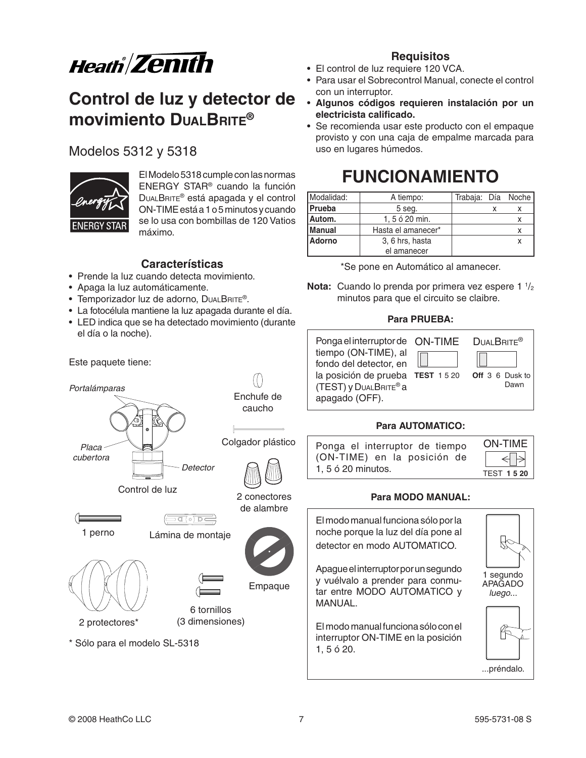

### **Control de luz y detector de movimiento DUALBRITE®**

### Modelos 5312 y 5318



El Modelo 5318 cumple con las normas ENERGY STAR® cuando la función DUALBRITE® está apagada y el control ON-TIME está a 1 o 5 minutos y cuando se lo usa con bombillas de 120 Vatios máximo.

### **Características**

- Prende la luz cuando detecta movimiento.
- Apaga la luz automáticamente.
- Temporizador luz de adorno, DUALBRITE®.
- La fotocélula mantiene la luz apagada durante el día.
- LED indica que se ha detectado movimiento (durante el día o la noche).

### **Requisitos**

- El control de luz requiere 120 VCA.
- Para usar el Sobrecontrol Manual, conecte el control con un interruptor.
- **Algunos códigos requieren instalación por un electricista calificado.**
- Se recomienda usar este producto con el empaque provisto y con una caja de empalme marcada para uso en lugares húmedos.

### **FUNCIONAMIENTO**

| Modalidad:                   | A tiempo:       |  | Trabaja: Día Noche |
|------------------------------|-----------------|--|--------------------|
| <b>Prueba</b><br>5 seg.      |                 |  |                    |
| 1.5 ó 20 min.<br>Autom.      |                 |  |                    |
| Manual<br>Hasta el amanecer* |                 |  |                    |
| <b>Adorno</b>                | 3, 6 hrs, hasta |  |                    |
|                              | el amanecer     |  |                    |

\*Se pone en Automático al amanecer.

**Nota:** Cuando lo prenda por primera vez espere 1  $\frac{1}{2}$ minutos para que el circuito se claibre.

#### **Para PRUEBA:**



...préndalo.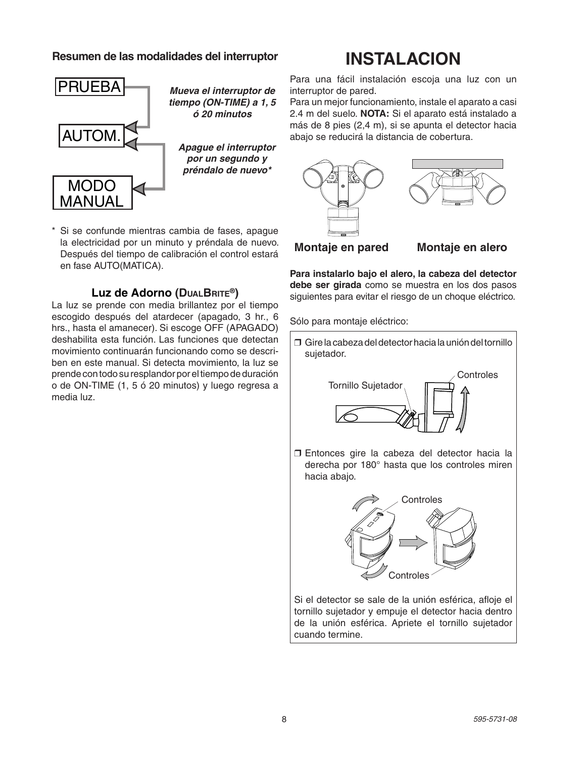#### **Resumen de las modalidades del interruptor**

# PRUEBA AUTOM. MODO MANI JA

*Mueva el interruptor de tiempo (ON-TIME) a 1, 5 ó 20 minutos*

*Apague el interruptor por un segundo y préndalo de nuevo\**

Si se confunde mientras cambia de fases, apague la electricidad por un minuto y préndala de nuevo. Después del tiempo de calibración el control estará en fase AUTO(MATICA).

#### **Luz de Adorno (DualBrite®)**

La luz se prende con media brillantez por el tiempo escogido después del atardecer (apagado, 3 hr., 6 hrs., hasta el amanecer). Si escoge OFF (APAGADO) deshabilita esta función. Las funciones que detectan movimiento continuarán funcionando como se describen en este manual. Si detecta movimiento, la luz se prende con todo su resplandor por el tiempo de duración o de ON-TIME (1, 5 ó 20 minutos) y luego regresa a media luz.

Para una fácil instalación escoja una luz con un interruptor de pared.

**INSTALACION**

Para un mejor funcionamiento, instale el aparato a casi 2.4 m del suelo. **NOTA:** Si el aparato está instalado a más de 8 pies (2,4 m), si se apunta el detector hacia abajo se reducirá la distancia de cobertura.



**Para instalarlo bajo el alero, la cabeza del detector debe ser girada** como se muestra en los dos pasos siguientes para evitar el riesgo de un choque eléctrico.

Sólo para montaje eléctrico:

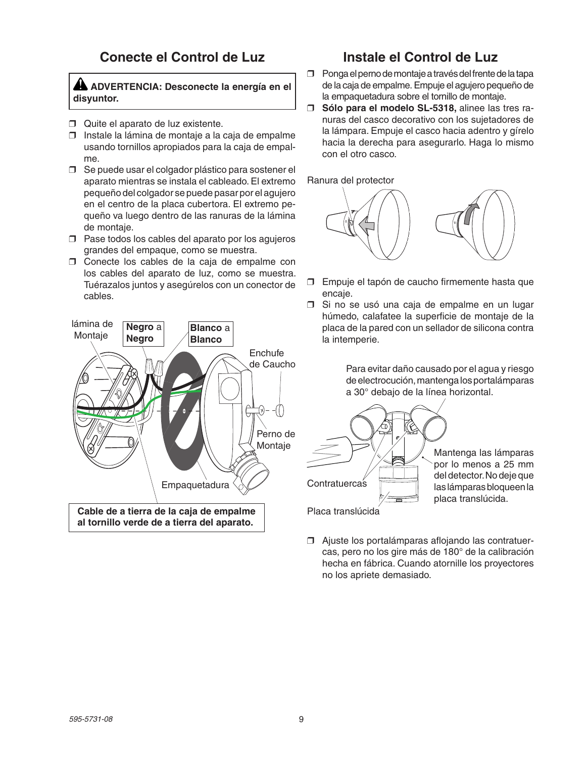### **Conecte el Control de Luz**

### **Instale el Control de Luz**

#### **ADVERTENCIA: Desconecte la energía en el disyuntor.**

- ❒ Quite el aparato de luz existente.
- ❒ Instale la lámina de montaje a la caja de empalme usando tornillos apropiados para la caja de empalme.
- ❒ Se puede usar el colgador plástico para sostener el aparato mientras se instala el cableado. El extremo pequeño del colgador se puede pasar por el agujero en el centro de la placa cubertora. El extremo pequeño va luego dentro de las ranuras de la lámina de montaje.
- ❒ Pase todos los cables del aparato por los agujeros grandes del empaque, como se muestra.
- ❒ Conecte los cables de la caja de empalme con los cables del aparato de luz, como se muestra. Tuérazalos juntos y asegúrelos con un conector de cables.



- ❒ Ponga el perno de montaje a través del frente de la tapa de la caja de empalme. Empuje el agujero pequeño de la empaquetadura sobre el tornillo de montaje.
- ❒ **Sólo para el modelo SL-5318,** alinee las tres ranuras del casco decorativo con los sujetadores de la lámpara. Empuje el casco hacia adentro y gírelo hacia la derecha para asegurarlo. Haga lo mismo con el otro casco.

#### Ranura del protector



- ❒ Empuje el tapón de caucho firmemente hasta que encaje.
- ❒ Si no se usó una caja de empalme en un lugar húmedo, calafatee la superficie de montaje de la placa de la pared con un sellador de silicona contra la intemperie.

Para evitar daño causado por el agua y riesgo de electrocución, mantenga los portalámparas a 30° debajo de la línea horizontal.



❒ Ajuste los portalámparas aflojando las contratuercas, pero no los gire más de 180° de la calibración hecha en fábrica. Cuando atornille los proyectores no los apriete demasiado.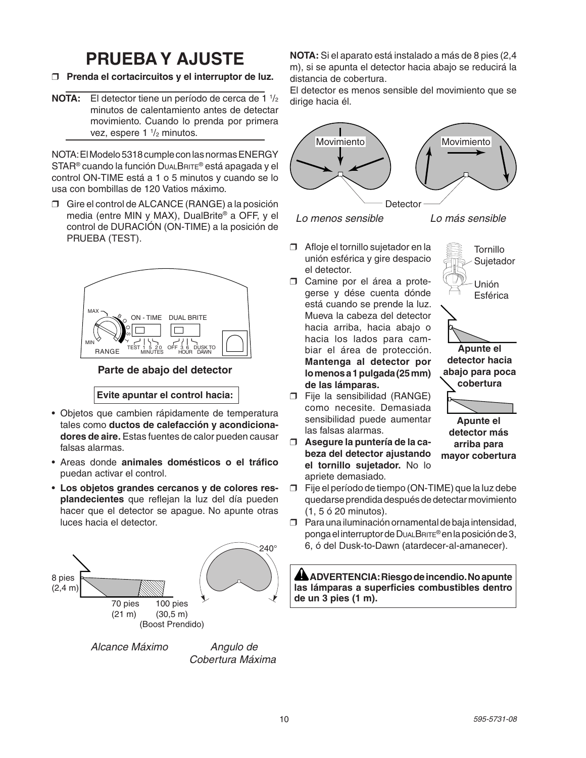### **PRUEBA Y AJUSTE**

- ❒ **Prenda el cortacircuitos y el interruptor de luz.**
- **NOTA:** El detector tiene un período de cerca de 1 <sup>1</sup>/<sub>2</sub> minutos de calentamiento antes de detectar movimiento. Cuando lo prenda por primera vez, espere 1  $\frac{1}{2}$  minutos.

NOTA: El Modelo 5318 cumple con las normas ENERGY STAR<sup>®</sup> cuando la función DuALBRITE<sup>®</sup> está apagada y el control ON-TIME está a 1 o 5 minutos y cuando se lo usa con bombillas de 120 Vatios máximo.

❒ Gire el control de ALCANCE (RANGE) a la posición media (entre MIN y MAX), DualBrite® a OFF, y el control de DURACIÓN (ON-TIME) a la posición de PRUEBA (TEST).



#### **Parte de abajo del detector**

#### **Evite apuntar el control hacia:**

- Objetos que cambien rápidamente de temperatura tales como **ductos de calefacción y acondicionadores de aire.** Estas fuentes de calor pueden causar falsas alarmas.
- Areas donde **animales domésticos o el tráfico** puedan activar el control.
- **Los objetos grandes cercanos y de colores resplandecientes** que reflejan la luz del día pueden hacer que el detector se apague. No apunte otras luces hacia el detector.



*Alcance Máximo Angulo de*

*Cobertura Máxima*

**NOTA:** Si el aparato está instalado a más de 8 pies (2,4 m), si se apunta el detector hacia abajo se reducirá la distancia de cobertura.

El detector es menos sensible del movimiento que se dirige hacia él.



*Lo menos sensible Lo más sensible*

- ❒ Afloje el tornillo sujetador en la unión esférica y gire despacio el detector.
- ❒ Camine por el área a protegerse y dése cuenta dónde está cuando se prende la luz. Mueva la cabeza del detector hacia arriba, hacia abajo o hacia los lados para cambiar el área de protección. **Mantenga al detector por lo menos a 1 pulgada (25 mm) de las lámparas.**
- ❒ Fije la sensibilidad (RANGE) como necesite. Demasiada sensibilidad puede aumentar las falsas alarmas.
- ❒ **Asegure la puntería de la cabeza del detector ajustando el tornillo sujetador.** No lo apriete demasiado.
- ❒ Fije el período de tiempo (ON-TIME) que la luz debe quedarse prendida después de detectar movimiento (1, 5 ó 20 minutos).
- ❒ Para una iluminación ornamental de baja intensidad, ponga el interruptor de DualBrite® en la posición de 3, 6, ó del Dusk-to-Dawn (atardecer-al-amanecer).

 **ADVERTENCIA: Riesgo de incendio. No apunte las lámparas a superficies combustibles dentro de un 3 pies (1 m).**



Tornillo Sujetador

**Apunte el detector más arriba para mayor cobertura**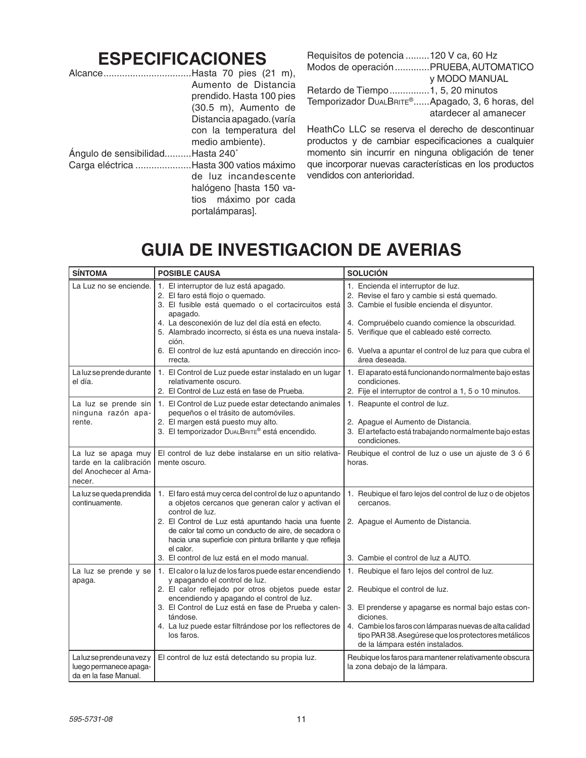### **ESPECIFICACIONES**

| AlcanceHasta 70 pies (21 m),     |                                         |
|----------------------------------|-----------------------------------------|
|                                  | Aumento de Distancia                    |
|                                  | prendido. Hasta 100 pies                |
|                                  | (30.5 m), Aumento de                    |
|                                  | Distancia apagado. (varía               |
|                                  | con la temperatura del                  |
|                                  | medio ambiente).                        |
| Angulo de sensibilidadHasta 240° |                                         |
|                                  | Carga eléctrica Hasta 300 vatios máximo |
|                                  | de luz incandescente                    |
|                                  | halógeno [hasta 150 va-                 |
|                                  | tios máximo por cada                    |
|                                  | portalámparas].                         |

| Requisitos de potencia 120 V ca, 60 Hz          |                       |
|-------------------------------------------------|-----------------------|
| Modos de operación  PRUEBA, AUTOMATICO          |                       |
|                                                 | y MODO MANUAL         |
| Retardo de Tiempo 1, 5, 20 minutos              |                       |
| Temporizador DUALBRITE®Apagado, 3, 6 horas, del |                       |
|                                                 | atardecer al amanecer |
|                                                 |                       |

HeathCo LLC se reserva el derecho de descontinuar productos y de cambiar especificaciones a cualquier momento sin incurrir en ninguna obligación de tener que incorporar nuevas características en los productos vendidos con anterioridad.

### **GUIA DE INVESTIGACION DE AVERIAS**

| <b>SÍNTOMA</b>                                                                    | <b>POSIBLE CAUSA</b>                                                                                                                                                                                                                                                                                                                                 | <b>SOLUCIÓN</b>                                                                                                                                                                                                                                                                                            |
|-----------------------------------------------------------------------------------|------------------------------------------------------------------------------------------------------------------------------------------------------------------------------------------------------------------------------------------------------------------------------------------------------------------------------------------------------|------------------------------------------------------------------------------------------------------------------------------------------------------------------------------------------------------------------------------------------------------------------------------------------------------------|
| La Luz no se enciende.                                                            | 1. El interruptor de luz está apagado.<br>2. El faro está flojo o quemado.<br>3. El fusible está quemado o el cortacircuitos está<br>apagado.<br>4. La desconexión de luz del día está en efecto.<br>5. Alambrado incorrecto, si ésta es una nueva instala-<br>ción.                                                                                 | 1. Encienda el interruptor de luz.<br>2. Revise el faro y cambie si está quemado.<br>3. Cambie el fusible encienda el disyuntor.<br>4. Compruébelo cuando comience la obscuridad.<br>5. Verifique que el cableado esté correcto.                                                                           |
|                                                                                   | 6. El control de luz está apuntando en dirección inco-<br>rrecta.                                                                                                                                                                                                                                                                                    | 6. Vuelva a apuntar el control de luz para que cubra el<br>área deseada.                                                                                                                                                                                                                                   |
| La luz se prende durante<br>el día.                                               | 1. El Control de Luz puede estar instalado en un lugar<br>relativamente oscuro.<br>2. El Control de Luz está en fase de Prueba.                                                                                                                                                                                                                      | 1. El aparato está funcionando normalmente bajo estas<br>condiciones.<br>2. Fije el interruptor de control a 1, 5 o 10 minutos.                                                                                                                                                                            |
| La luz se prende sin<br>ninguna razón apa-<br>rente.                              | 1. El Control de Luz puede estar detectando animales<br>pequeños o el trásito de automóviles.<br>2. El margen está puesto muy alto.<br>3. El temporizador DUALBRITE® está encendido.                                                                                                                                                                 | 1. Reapunte el control de luz.<br>2. Apague el Aumento de Distancia.<br>3. El artefacto está trabajando normalmente bajo estas<br>condiciones.                                                                                                                                                             |
| La luz se apaga muy<br>tarde en la calibración<br>del Anochecer al Ama-<br>necer. | El control de luz debe instalarse en un sitio relativa-<br>mente oscuro.                                                                                                                                                                                                                                                                             | Reubique el control de luz o use un ajuste de 3 ó 6<br>horas.                                                                                                                                                                                                                                              |
| continuamente.                                                                    | La luz se queda prendida   1. El faro está muy cerca del control de luz o apuntando<br>a objetos cercanos que generan calor y activan el<br>control de luz.<br>2. El Control de Luz está apuntando hacia una fuente<br>de calor tal como un conducto de aire, de secadora o<br>hacia una superficie con pintura brillante y que refleja<br>el calor. | 1. Reubique el faro lejos del control de luz o de objetos<br>cercanos.<br>2. Apague el Aumento de Distancia.                                                                                                                                                                                               |
|                                                                                   | 3. El control de luz está en el modo manual.                                                                                                                                                                                                                                                                                                         | 3. Cambie el control de luz a AUTO.                                                                                                                                                                                                                                                                        |
| La luz se prende y se<br>apaga.                                                   | 1. El calor o la luz de los faros puede estar encendiendo<br>y apagando el control de luz.<br>2. El calor reflejado por otros objetos puede estar<br>encendiendo y apagando el control de luz.<br>3. El Control de Luz está en fase de Prueba y calen-<br>tándose.<br>4. La luz puede estar filtrándose por los reflectores de<br>los faros.         | 1. Reubique el faro lejos del control de luz.<br>2. Reubique el control de luz.<br>3. El prenderse y apagarse es normal bajo estas con-<br>diciones.<br>4. Cambie los faros con lámparas nuevas de alta calidad<br>tipo PAR 38. Asegúrese que los protectores metálicos<br>de la lámpara estén instalados. |
| Laluzseprendeunavezy<br>luego permanece apaga-<br>da en la fase Manual.           | El control de luz está detectando su propia luz.                                                                                                                                                                                                                                                                                                     | Reubique los faros para mantener relativamente obscura<br>la zona debajo de la lámpara.                                                                                                                                                                                                                    |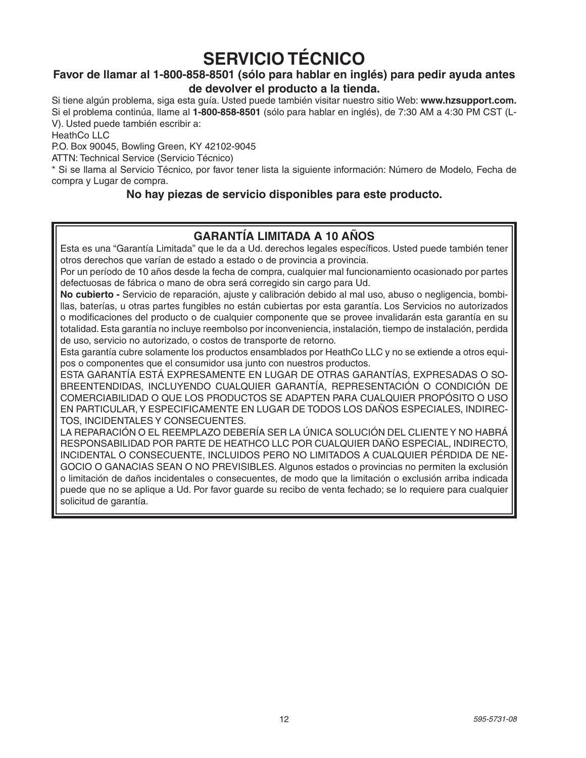### **SERVICIO TÉCNICO**

### **Favor de llamar al 1-800-858-8501 (sólo para hablar en inglés) para pedir ayuda antes de devolver el producto a la tienda.**

Si tiene algún problema, siga esta guía. Usted puede también visitar nuestro sitio Web: **www.hzsupport.com.** Si el problema continúa, llame al **1-800-858-8501** (sólo para hablar en inglés), de 7:30 AM a 4:30 PM CST (L-V). Usted puede también escribir a:

HeathCo LLC

P.O. Box 90045, Bowling Green, KY 42102-9045

ATTN: Technical Service (Servicio Técnico)

\* Si se llama al Servicio Técnico, por favor tener lista la siguiente información: Número de Modelo, Fecha de compra y Lugar de compra.

### **No hay piezas de servicio disponibles para este producto.**

### **GARANTÍA LIMITADA A 10 AÑOS**

Esta es una "Garantía Limitada" que le da a Ud. derechos legales específicos. Usted puede también tener otros derechos que varían de estado a estado o de provincia a provincia.

Por un período de 10 años desde la fecha de compra, cualquier mal funcionamiento ocasionado por partes defectuosas de fábrica o mano de obra será corregido sin cargo para Ud.

**No cubierto -** Servicio de reparación, ajuste y calibración debido al mal uso, abuso o negligencia, bombillas, baterías, u otras partes fungibles no están cubiertas por esta garantía. Los Servicios no autorizados o modificaciones del producto o de cualquier componente que se provee invalidarán esta garantía en su totalidad. Esta garantía no incluye reembolso por inconveniencia, instalación, tiempo de instalación, perdida de uso, servicio no autorizado, o costos de transporte de retorno.

Esta garantía cubre solamente los productos ensamblados por HeathCo LLC y no se extiende a otros equipos o componentes que el consumidor usa junto con nuestros productos.

ESTA GARANTÍA ESTÁ EXPRESAMENTE EN LUGAR DE OTRAS GARANTÍAS, EXPRESADAS O SO-BREENTENDIDAS, INCLUYENDO CUALQUIER GARANTÍA, REPRESENTACIÓN O CONDICIÓN DE COMERCIABILIDAD O QUE LOS PRODUCTOS SE ADAPTEN PARA CUALQUIER PROPÓSITO O USO EN PARTICULAR, Y ESPECIFICAMENTE EN LUGAR DE TODOS LOS DAÑOS ESPECIALES, INDIREC-TOS, INCIDENTALES Y CONSECUENTES.

LA REPARACIÓN O EL REEMPLAZO DEBERÍA SER LA ÚNICA SOLUCIÓN DEL CLIENTE Y NO HABRÁ RESPONSABILIDAD POR PARTE DE HeathCo LLC POR CUALQUIER DAÑO ESPECIAL, INDIRECTO, INCIDENTAL O CONSECUENTE, INCLUIDOS PERO NO LIMITADOS A CUALQUIER PÉRDIDA DE NE-GOCIO O GANACIAS SEAN O NO PREVISIBLES. Algunos estados o provincias no permiten la exclusión o limitación de daños incidentales o consecuentes, de modo que la limitación o exclusión arriba indicada puede que no se aplique a Ud. Por favor guarde su recibo de venta fechado; se lo requiere para cualquier solicitud de garantía.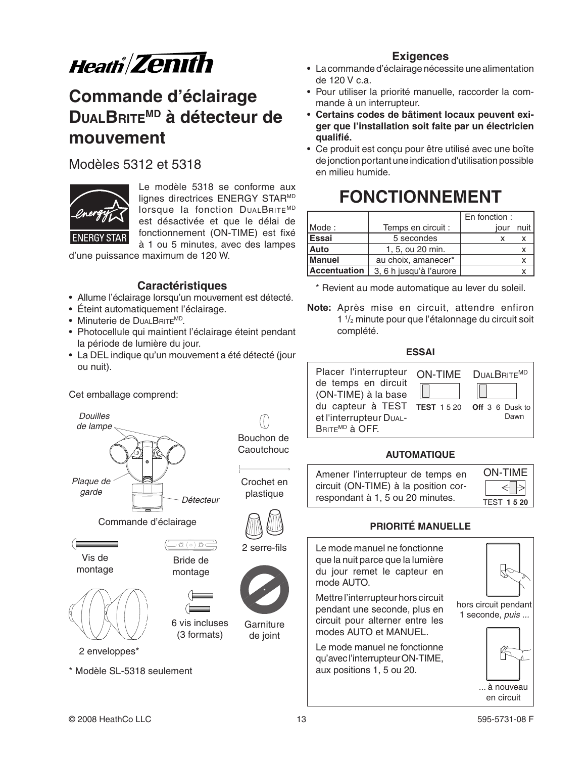

### **Commande d'éclairage DualBriteMD à détecteur de mouvement**

### Modèles 5312 et 5318



Le modèle 5318 se conforme aux lignes directrices ENERGY STARMD lorsque la fonction DUALBRITEMD est désactivée et que le délai de fonctionnement (ON-TIME) est fixé à 1 ou 5 minutes, avec des lampes

d'une puissance maximum de 120 W.

### **Caractéristiques**

- Allume l'éclairage lorsqu'un mouvement est détecté.
- Éteint automatiquement l'éclairage.
- Minuterie de DUALBRITEMD.
- Photocellule qui maintient l'éclairage éteint pendant la période de lumière du jour.
- La DEL indique qu'un mouvement a été détecté (jour ou nuit).



#### **Exigences**

- La commande d'éclairage nécessite une alimentation de 120 V c.a.
- Pour utiliser la priorité manuelle, raccorder la commande à un interrupteur.
- **Certains codes de bâtiment locaux peuvent exiger que l'installation soit faite par un électricien qualifié.**
- Ce produit est conçu pour être utilisé avec une boîte de jonction portant une indication d'utilisation possible en milieu humide.

### **FONCTIONNEMENT**

|                     |                         | En fonction: |
|---------------------|-------------------------|--------------|
| Mode:               | Temps en circuit :      | iour         |
| Essai               | 5 secondes              |              |
| Auto                | 1, 5, ou 20 min.        |              |
| Manuel              | au choix, amanecer*     |              |
| <b>Accentuation</b> | 3, 6 h jusqu'à l'aurore |              |

\* Revient au mode automatique au lever du soleil.

**Note:** Après mise en circuit, attendre enfiron 1 1 /2 minute pour que l'étalonnage du circuit soit complété.

#### **ESSAI**



#### **AUTOMATIQUE**

ON-TIME Amener l'interrupteur de temps en circuit (ON-TIME) à la position correspondant à 1, 5 ou 20 minutes.



#### **PRIORITÉ MANUELLE**

Le mode manuel ne fonctionne que la nuit parce que la lumière du jour remet le capteur en mode AUTO.

Mettre l'interrupteur hors circuit pendant une seconde, plus en circuit pour alterner entre les modes AUTO et MANUEL.

Le mode manuel ne fonctionne qu'avec l'interrupteur ON-TIME, aux positions 1, 5 ou 20.



hors circuit pendant 1 seconde, *puis ...*



\* Modèle SL-5318 seulement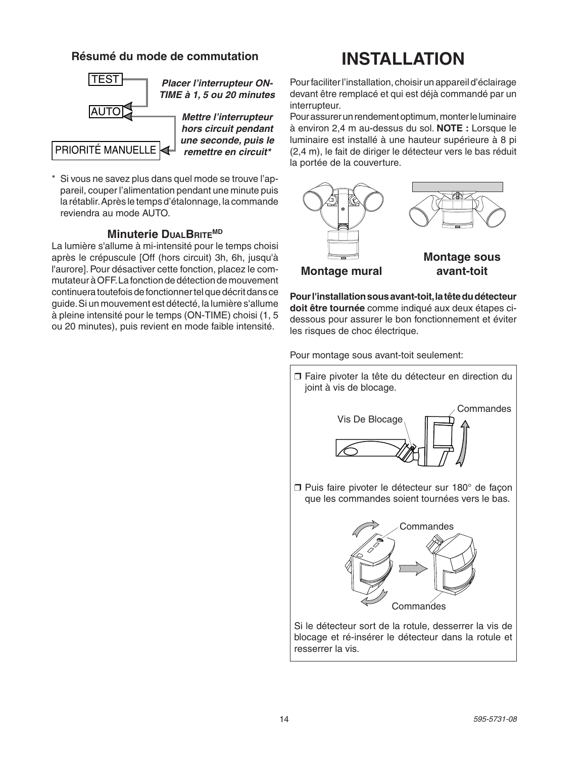### **Résumé du mode de commutation**

## AUTO TEST

*Placer l'interrupteur ON-TIME à 1, 5 ou 20 minutes*

*Mettre l'interrupteur hors circuit pendant une seconde, puis le* PRIORITÉ MANUELLE **<sup>1</sup>** remettre en circuit\*

\* Si vous ne savez plus dans quel mode se trouve l'appareil, couper l'alimentation pendant une minute puis la rétablir. Après le temps d'étalonnage, la commande reviendra au mode AUTO.

#### **Minuterie DUALBRITEMD**

La lumière s'allume à mi-intensité pour le temps choisi après le crépuscule [Off (hors circuit) 3h, 6h, jusqu'à l'aurore]. Pour désactiver cette fonction, placez le commutateur à OFF. La fonction de détection de mouvement continuera toutefois de fonctionner tel que décrit dans ce guide. Si un mouvement est détecté, la lumière s'allume à pleine intensité pour le temps (ON-TIME) choisi (1, 5 ou 20 minutes), puis revient en mode faible intensité.

### **INSTALLATION**

Pour faciliter l'installation, choisir un appareil d'éclairage devant être remplacé et qui est déjà commandé par un interrupteur.

Pour assurer un rendement optimum, monter le luminaire à environ 2,4 m au-dessus du sol. **NOTE :** Lorsque le luminaire est installé à une hauteur supérieure à 8 pi (2,4 m), le fait de diriger le détecteur vers le bas réduit la portée de la couverture.



**Pour l'installation sous avant-toit, la tête du détecteur doit être tournée** comme indiqué aux deux étapes cidessous pour assurer le bon fonctionnement et éviter les risques de choc électrique.

Pour montage sous avant-toit seulement:

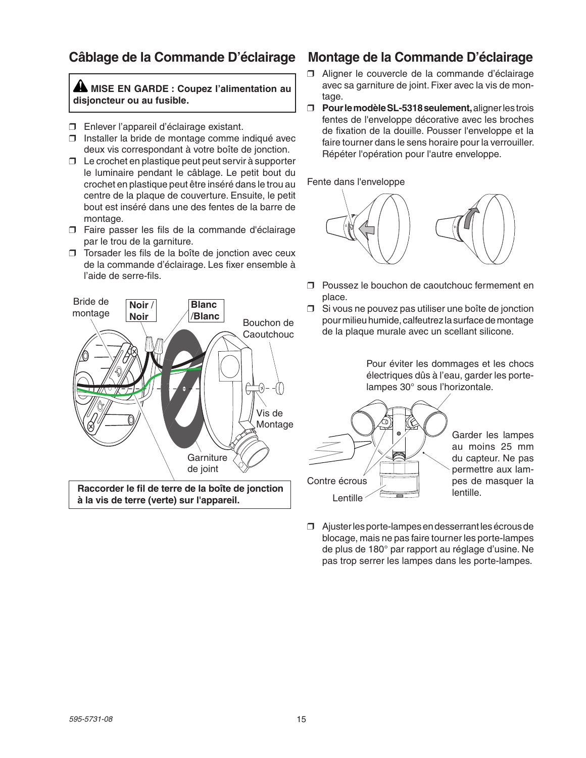### **Câblage de la Commande D'éclairage**

 **MISE EN GARDE : Coupez l'alimentation au disjoncteur ou au fusible.**

- ❒ Enlever l'appareil d'éclairage existant.
- ❒ Installer la bride de montage comme indiqué avec deux vis correspondant à votre boîte de jonction.
- ❒ Le crochet en plastique peut peut servir à supporter le luminaire pendant le câblage. Le petit bout du crochet en plastique peut être inséré dans le trou au centre de la plaque de couverture. Ensuite, le petit bout est inséré dans une des fentes de la barre de montage.
- ❒ Faire passer les fils de la commande d'éclairage par le trou de la garniture.
- ❒ Torsader les fils de la boîte de jonction avec ceux de la commande d'éclairage. Les fixer ensemble à l'aide de serre-fils.



**Raccorder le fil de terre de la boîte de jonction à la vis de terre (verte) sur l'appareil.**

### **Montage de la Commande D'éclairage**

- ❒ Aligner le couvercle de la commande d'éclairage avec sa garniture de joint. Fixer avec la vis de montage.
- ❒ **Pour le modèle SL-5318 seulement,** aligner les trois fentes de l'enveloppe décorative avec les broches de fixation de la douille. Pousser l'enveloppe et la faire tourner dans le sens horaire pour la verrouiller. Répéter l'opération pour l'autre enveloppe.

Fente dans l'enveloppe



- ❒ Poussez le bouchon de caoutchouc fermement en place.
- ❒ Si vous ne pouvez pas utiliser une boîte de jonction pour milieu humide, calfeutrez la surface de montage de la plaque murale avec un scellant silicone.

Pour éviter les dommages et les chocs électriques dûs à l'eau, garder les portelampes 30° sous l'horizontale.



Garder les lampes au moins 25 mm du capteur. Ne pas permettre aux lampes de masquer la lentille.

❒ Ajuster les porte-lampes en desserrant les écrous de blocage, mais ne pas faire tourner les porte-lampes de plus de 180° par rapport au réglage d'usine. Ne pas trop serrer les lampes dans les porte-lampes.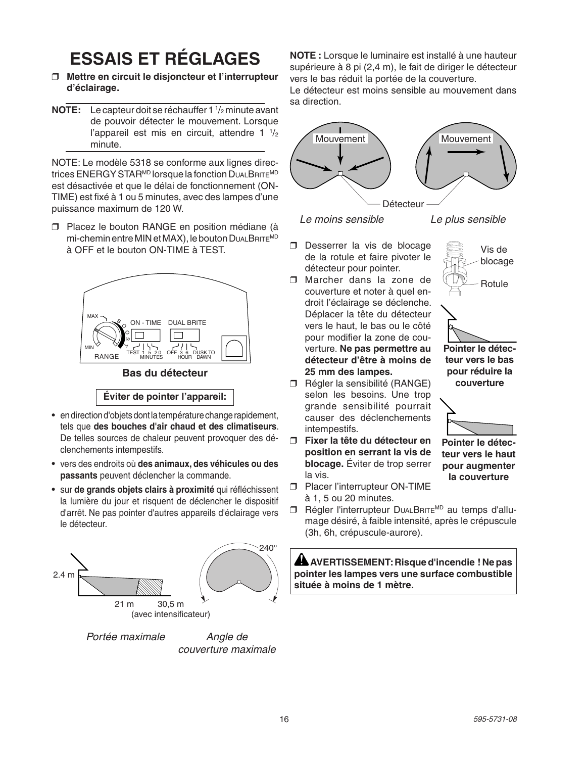## **ESSAIS ET RÉGLAGES**

- ❒ **Mettre en circuit le disjoncteur et l'interrupteur d'éclairage.**
- **NOTE:** Le capteur doit se réchauffer 1<sup>1</sup>/2 minute avant de pouvoir détecter le mouvement. Lorsque l'appareil est mis en circuit, attendre 1  $\frac{1}{2}$ minute.

NOTE: Le modèle 5318 se conforme aux lignes directrices ENERGY STAR<sup>MD</sup> lorsque la fonction DUALBRITE<sup>MD</sup> est désactivée et que le délai de fonctionnement (ON-TIME) est fixé à 1 ou 5 minutes, avec des lampes d'une puissance maximum de 120 W.

❒ Placez le bouton RANGE en position médiane (à mi-chemin entre MIN et MAX), le bouton DualBrite<sup>MD</sup> à OFF et le bouton ON-TIME à TEST.



#### **Bas du détecteur**

#### **Éviter de pointer l'appareil:**

- en direction d'objets dont la température change rapidement, tels que **des bouches d'air chaud et des climatiseurs**. De telles sources de chaleur peuvent provoquer des déclenchements intempestifs.
- vers des endroits où **des animaux, des véhicules ou des passants** peuvent déclencher la commande.
- sur **de grands objets clairs à proximité** qui réfléchissent la lumière du jour et risquent de déclencher le dispositif d'arrêt. Ne pas pointer d'autres appareils d'éclairage vers le détecteur.



*Portée maximale Angle de*

*couverture maximale*

**NOTE :** Lorsque le luminaire est installé à une hauteur supérieure à 8 pi (2,4 m), le fait de diriger le détecteur vers le bas réduit la portée de la couverture.

Le détecteur est moins sensible au mouvement dans sa direction.



*Le moins sensible Le plus sensible*

Vis de blocage

- ❒ Desserrer la vis de blocage de la rotule et faire pivoter le détecteur pour pointer.
- ❒ Marcher dans la zone de couverture et noter à quel endroit l'éclairage se déclenche. Déplacer la tête du détecteur vers le haut, le bas ou le côté pour modifier la zone de couverture. **Ne pas permettre au détecteur d'être à moins de 25 mm des lampes.**
- ❒ Régler la sensibilité (RANGE) selon les besoins. Une trop grande sensibilité pourrait causer des déclenchements intempestifs.
- ❒ **Fixer la tête du détecteur en position en serrant la vis de blocage.** Éviter de trop serrer la vis.
- ❒ Placer l'interrupteur ON-TIME à 1, 5 ou 20 minutes.
- □ Régler l'interrupteur DuALBRITE<sup>MD</sup> au temps d'allumage désiré, à faible intensité, après le crépuscule (3h, 6h, crépuscule-aurore).

 **AVERTISSEMENT: Risque d'incendie ! Ne pas pointer les lampes vers une surface combustible située à moins de 1 mètre.**



**Pointer le détecteur vers le bas pour réduire la couverture**



**Pointer le détecteur vers le haut pour augmenter la couverture**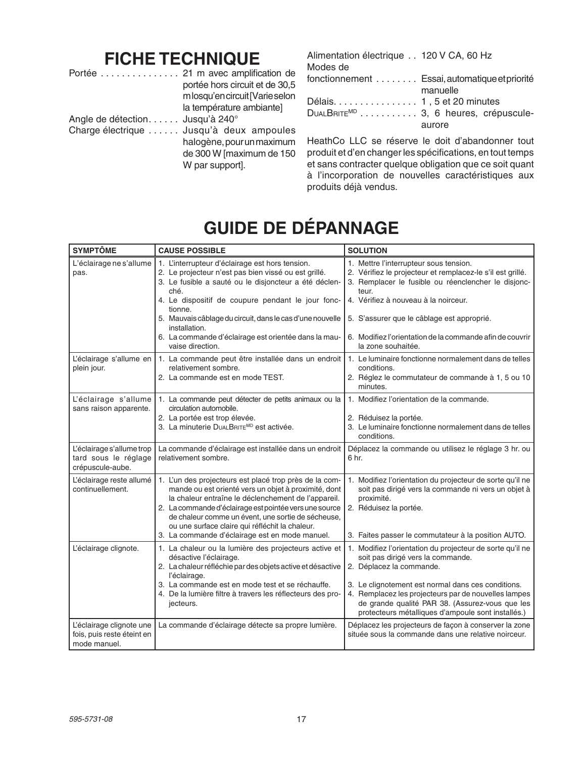### **FICHE TECHNIQUE**

|                                 | Portée 21 m avec amplification de        |
|---------------------------------|------------------------------------------|
|                                 | portée hors circuit et de 30,5           |
|                                 | m losqu'en circuit [Varie selon          |
|                                 | la température ambiante]                 |
| Angle de détection Jusqu'à 240° |                                          |
|                                 | Charge électrique  Jusqu'à deux ampoules |
|                                 | halogène, pour un maximum                |
|                                 | de 300 W [maximum de 150                 |
|                                 | W par support].                          |
|                                 |                                          |

jecteurs.

| Alimentation électrique 120 V CA, 60 Hz |                                                  |
|-----------------------------------------|--------------------------------------------------|
| Modes de                                |                                                  |
|                                         | fonctionnement Essai, automatique et priorité    |
|                                         | manuelle                                         |
| Délais. 1, 5 et 20 minutes              |                                                  |
|                                         | DUALBRITE <sup>MD</sup> 3, 6 heures, crépuscule- |
|                                         | aurore                                           |
|                                         |                                                  |

HeathCo LLC se réserve le doit d'abandonner tout produit et d'en changer les spécifications, en tout temps et sans contracter quelque obligation que ce soit quant à l'incorporation de nouvelles caractéristiques aux produits déjà vendus.

> de grande qualité PAR 38. (Assurez-vous que les protecteurs métalliques d'ampoule sont installés.)

située sous la commande dans une relative noirceur.

#### **SYMPTÔME CAUSE POSSIBLE SOLUTION** L'éclairage ne s'allume pas. 1. L'interrupteur d'éclairage est hors tension. 2. Le projecteur n'est pas bien vissé ou est grillé. 3. Le fusible a sauté ou le disjoncteur a été déclenché. 4. Le dispositif de coupure pendant le jour fonctionne. 5. Mauvais câblage du circuit, dans le cas d'une nouvelle installation. 6. La commande d'éclairage est orientée dans la mauvaise direction. 1. Mettre l'interrupteur sous tension. 2. Vérifiez le projecteur et remplacez-le s'il est grillé. 3. Remplacer le fusible ou réenclencher le disjoncteur. 4. Vérifiez à nouveau à la noirceur. 5. S'assurer que le câblage est approprié. 6. Modifiez l'orientation de la commande afin de couvrir la zone souhaitée. L'éclairage s'allume en plein jour. 1. La commande peut être installée dans un endroit relativement sombre. 2. La commande est en mode TEST. 1. Le luminaire fonctionne normalement dans de telles conditions. 2. Réglez le commutateur de commande à 1, 5 ou 10 minutes. L'éclairage s'allume sans raison apparente. 1. La commande peut détecter de petits animaux ou la circulation automobile. 2. La portée est trop élevée. 3. La minuterie DUALBRITE<sup>MD</sup> est activée. 1. Modifiez l'orientation de la commande. 2. Réduisez la portée. 3. Le luminaire fonctionne normalement dans de telles conditions. L'éclairage s'allume trop tard sous le réglage crépuscule-aube. La commande d'éclairage est installée dans un endroit relativement sombre. Déplacez la commande ou utilisez le réglage 3 hr. ou 6 hr. L'éclairage reste allumé continuellement. 1. L'un des projecteurs est placé trop près de la commande ou est orienté vers un objet à proximité, dont la chaleur entraîne le déclenchement de l'appareil. 2. La commande d'éclairage est pointée vers une source de chaleur comme un évent, une sortie de sécheuse, ou une surface claire qui réfléchit la chaleur. 3. La commande d'éclairage est en mode manuel. 1. Modifiez l'orientation du projecteur de sorte qu'il ne soit pas dirigé vers la commande ni vers un objet à proximité. 2. Réduisez la portée. 3. Faites passer le commutateur à la position AUTO. L'éclairage clignote.  $\vert$  1. La chaleur ou la lumière des projecteurs active et désactive l'éclairage. 2. La chaleur réfléchie par des objets active et désactive l'éclairage. 3. La commande est en mode test et se réchauffe. 4. De la lumière filtre à travers les réflecteurs des pro-1. Modifiez l'orientation du projecteur de sorte qu'il ne soit pas dirigé vers la commande. 2. Déplacez la commande. 3. Le clignotement est normal dans ces conditions. 4. Remplacez les projecteurs par de nouvelles lampes

### **GUIDE DE DÉPANNAGE**

L'éclairage clignote une fois, puis reste éteint en mode manuel.

La commande d'éclairage détecte sa propre lumière. | Déplacez les projecteurs de façon à conserver la zone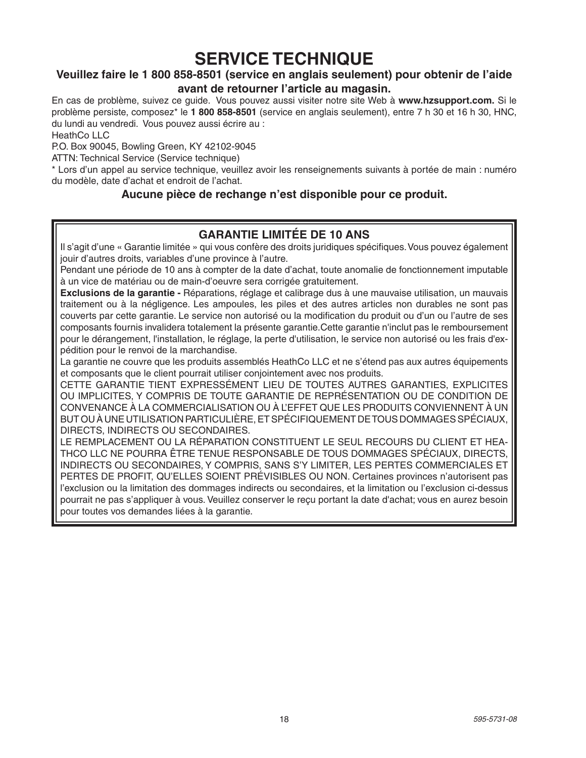### **SERVICE TECHNIQUE**

### **Veuillez faire le 1 800 858-8501 (service en anglais seulement) pour obtenir de l'aide avant de retourner l'article au magasin.**

En cas de problème, suivez ce guide. Vous pouvez aussi visiter notre site Web à **www.hzsupport.com.** Si le problème persiste, composez\* le **1 800 858-8501** (service en anglais seulement), entre 7 h 30 et 16 h 30, HNC, du lundi au vendredi. Vous pouvez aussi écrire au :

HeathCo LLC

P.O. Box 90045, Bowling Green, KY 42102-9045

ATTN: Technical Service (Service technique)

\* Lors d'un appel au service technique, veuillez avoir les renseignements suivants à portée de main : numéro du modèle, date d'achat et endroit de l'achat.

#### **Aucune pièce de rechange n'est disponible pour ce produit.**

### **GARANTIE LIMITÉE DE 10 ANS**

Il s'agit d'une « Garantie limitée » qui vous confère des droits juridiques spécifiques. Vous pouvez également jouir d'autres droits, variables d'une province à l'autre.

Pendant une période de 10 ans à compter de la date d'achat, toute anomalie de fonctionnement imputable à un vice de matériau ou de main-d'oeuvre sera corrigée gratuitement.

**Exclusions de la garantie -** Réparations, réglage et calibrage dus à une mauvaise utilisation, un mauvais traitement ou à la négligence. Les ampoules, les piles et des autres articles non durables ne sont pas couverts par cette garantie. Le service non autorisé ou la modification du produit ou d'un ou l'autre de ses composants fournis invalidera totalement la présente garantie.Cette garantie n'inclut pas le remboursement pour le dérangement, l'installation, le réglage, la perte d'utilisation, le service non autorisé ou les frais d'expédition pour le renvoi de la marchandise.

La garantie ne couvre que les produits assemblés HeathCo LLC et ne s'étend pas aux autres équipements et composants que le client pourrait utiliser conjointement avec nos produits.

CETTE GARANTIE TIENT EXPRESSÉMENT LIEU DE TOUTES AUTRES GARANTIES, EXPLICITES OU IMPLICITES, Y COMPRIS DE TOUTE GARANTIE DE REPRÉSENTATION OU DE CONDITION DE CONVENANCE À LA COMMERCIALISATION OU À L'EFFET QUE LES PRODUITS CONVIENNENT À UN BUT OU À UNE UTILISATION PARTICULIÈRE, ET SPÉCIFIQUEMENT DE TOUS DOMMAGES SPÉCIAUX, DIRECTS, INDIRECTS OU SECONDAIRES.

LE REMPLACEMENT OU LA RÉPARATION CONSTITUENT LE SEUL RECOURS DU CLIENT ET HeathCo LLC NE POURRA ÊTRE TENUE RESPONSABLE DE TOUS DOMMAGES SPÉCIAUX, DIRECTS, INDIRECTS OU SECONDAIRES, Y COMPRIS, SANS S'Y LIMITER, LES PERTES COMMERCIALES ET PERTES DE PROFIT, QU'ELLES SOIENT PRÉVISIBLES OU NON. Certaines provinces n'autorisent pas l'exclusion ou la limitation des dommages indirects ou secondaires, et la limitation ou l'exclusion ci-dessus pourrait ne pas s'appliquer à vous. Veuillez conserver le reçu portant la date d'achat; vous en aurez besoin pour toutes vos demandes liées à la garantie.